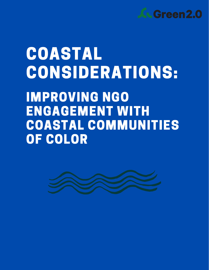

## COASTAL CONSIDERATIONS:

IMPROVING NGO ENGAGEMENT WITH COASTAL COMMUNITIES OF COLOR

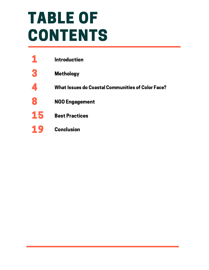## TABLE OF CONTENTS

|    | <b>Introduction</b>                                      |
|----|----------------------------------------------------------|
| g  | <b>Methology</b>                                         |
|    | <b>What Issues do Coastal Communities of Color Face?</b> |
| 8  | <b>NGO Engagement</b>                                    |
| 15 | <b>Best Practices</b>                                    |
|    | <b>Conclusion</b>                                        |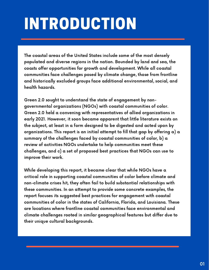## INTRODUCTION

The coastal areas of the United States include some of the most densely populated and diverse regions in the nation. Bounded by land and sea, the coasts offer opportunities for growth and development. While all coastal communities face challenges posed by climate change, those from frontline and historically excluded groups face additional environmental, social, and health hazards.

Green 2.0 sought to understand the state of engagement by nongovernmental organizations (NGOs) with coastal communities of color. Green 2.0 held a convening with representatives of allied organizations in early 2021. However, it soon became apparent that little literature exists on the subject, at least in a form designed to be digested and acted upon by organizations. This report is an initial attempt to fill that gap by offering a) a summary of the challenges faced by coastal communities of color, b) a review of activities NGOs undertake to help communities meet these challenges, and c) a set of proposed best practices that NGOs can use to improve their work.

While developing this report, it became clear that while NGOs have a critical role in supporting coastal communities of color before climate and non-climate crises hit, they often fail to build substantial relationships with these communities. In an attempt to provide some concrete examples, the report focuses its suggested best practices for engagement with coastal communities of color in the states of California, Florida, and Louisiana. These are locations where frontline coastal communities face environmental and climate challenges rooted in similar geographical features but differ due to their unique cultural backgrounds.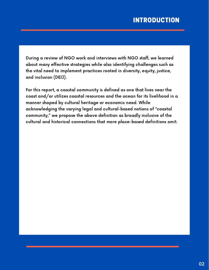#### INTRODUCTION

During a review of NGO work and interviews with NGO staff, we learned about many effective strategies while also identifying challenges such as the vital need to implement practices rooted in diversity, equity, justice, and inclusion (DEIJ).

For this report, a coastal community is defined as one that lives near the coast and/or utilizes coastal resources and the ocean for its livelihood in a manner shaped by cultural heritage or economic need. While acknowledging the varying legal and cultural-based notions of "coastal community," we propose the above definition as broadly inclusive of the cultural and historical connections that more place-based definitions omit.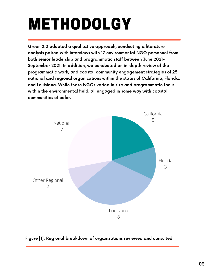# METHODOLGY

Green 2.0 adopted a qualitative approach, conducting a literature analysis paired with interviews with 17 environmental NGO personnel from both senior leadership and programmatic staff between June 2021- September 2021. In addition, we conducted an in-depth review of the programmatic work, and coastal community engagement strategies of 25 national and regional organizations within the states of California, Florida, and Louisiana. While these NGOs varied in size and programmatic focus within the environmental field, all engaged in some way with coastal communities of color.



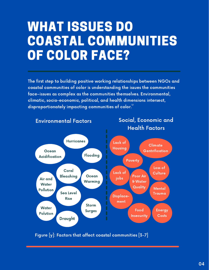### WHAT ISSUES DO COASTAL COMMUNITIES OF COLOR FACE?

The first step to building positive working relationships between NGOs and coastal communities of color is understanding the issues the communities face–issues as complex as the communities themselves. Environmental, climatic, socio-economic, political, and health dimensions intersect, disproportionately impacting communities of color. $^{\text{!`2}}$ 



Figure [y]: Factors that affect coastal communities [3-7]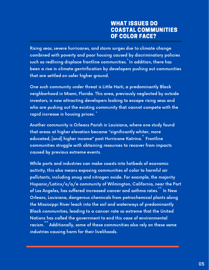#### WHAT ISSUES DO COASTAL COMMUNITIES OF COLOR FACE?

Rising seas, severe hurricanes, and storm surges due to climate change combined with poverty and poor housing caused by discriminatory policies such as redlining displace frontline communities. $\degree$  In addition, there has been a rise in climate gentrification by developers pushing out communities that are settled on safer higher ground.

One such community under threat is Little Haiti, a predominantly Black neighborhood in Miami, Florida. This area, previously neglected by outside investors, is now attracting developers looking to escape rising seas and who are pushing out the existing community that cannot compete with the rapid increase in housing prices.  $\degree$ 

Another community is Orleans Parish in Louisiana, where one study found that areas at higher elevation became "significantly whiter, more educated, [and] higher income" post Hurricane Katrina.<sup>"</sup> Frontline communities struggle with obtaining resources to recover from impacts caused by previous extreme events.

While ports and industries can make coasts into hotbeds of economic activity, this also means exposing communities of color to harmful air pollutants, including smog and nitrogen oxide. For example, the majority Hispanic/Latinx/o/a/e community of Wilmington, California, near the Port of Los Angeles, has suffered increased cancer and asthma rates.  $^{\text{\tiny{[1,12]}}}$  In New Orleans, Louisiana, dangerous chemicals from petrochemical plants along the Mississippi River leach into the soil and waterways of predominantly Black communities, leading to a cancer rate so extreme that the United Nations has called the government to end this case of environmental racism." Additionally, some of these communities also rely on these same industries causing harm for their livelihoods.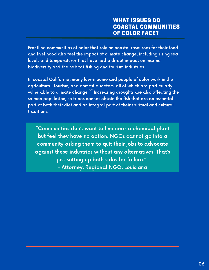Frontline communities of color that rely on coastal resources for their food and livelihood also feel the impact of climate change, including rising sea levels and temperatures that have had a direct impact on marine biodiversity and the habitat fishing and tourism industries.

In coastal California, many low-income and people of color work in the agricultural, tourism, and domestic sectors, all of which are particularly vulnerable to climate change. $^{\text{\tiny{15,16}}}_{\text{\tiny{15,16}}}$  Increasing droughts are also affecting the salmon population, so tribes cannot obtain the fish that are an essential part of both their diet and an integral part of their spiritual and cultural traditions.

"Communities don't want to live near a chemical plant but feel they have no option. NGOs cannot go into a community asking them to quit their jobs to advocate against these industries without any alternatives. That's just setting up both sides for failure." - Attorney, Regional NGO, Louisiana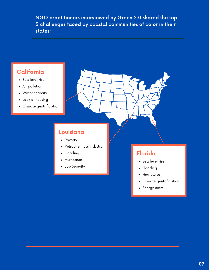NGO practitioners interviewed by Green 2.0 shared the top 5 challenges faced by coastal communities of color in their states:

### California

- Sea level rise
- Air pollution
- Water scarcity
- Lack of housing
- Climate gentrification

#### Louisiana

- Poverty
- Petrochemical industry
- Flooding
- Hurricanes
- Job Security

#### Florida

- Sea level rise
- Flooding
- Hurricanes
- Climate gentrification
- Energy costs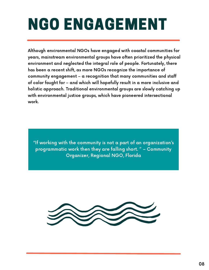## NGO ENGAGEMENT

Although environmental NGOs have engaged with coastal communities for years, mainstream environmental groups have often prioritized the physical environment and neglected the integral role of people. Fortunately, there has been a recent shift, as more NGOs recognize the importance of community engagement – a recognition that many communities and staff of color fought for – and which will hopefully result in a more inclusive and holistic approach. Traditional environmental groups are slowly catching up with environmental justice groups, which have pioneered intersectional work.

"If working with the community is not a part of an organization's programmatic work then they are falling short. " – Community Organizer, Regional NGO, Florida

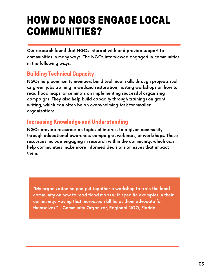### HOW DO NGOS ENGAGE LOCAL COMMUNITIES?

Our research found that NGOs interact with and provide support to communities in many ways. The NGOs interviewed engaged in communities in the following ways:

#### Building Technical Capacity

NGOs help community members build technical skills through projects such as green jobs training in wetland restoration, hosting workshops on how to read flood maps, or seminars on implementing successful organizing campaigns. They also help build capacity through trainings on grant writing, which can often be an overwhelming task for smaller organizations.

#### Increasing Knowledge and Understanding

NGOs provide resources on topics of interest to a given community through educational awareness campaigns, webinars, or workshops. These resources include engaging in research within the community, which can help communities make more informed decisions on issues that impact them.

"My organization helped put together a workshop to train the local community on how to read flood maps with specific examples in their community. Having that increased skill helps them advocate for themselves." - Community Organizer, Regional NGO, Florida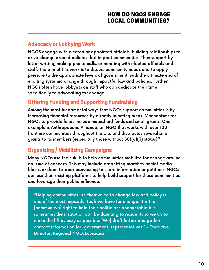#### Advocacy or Lobbying Work

NGOS engage with elected or appointed officials, building relationships to drive change around policies that impact communities. They support by letter writing, making phone calls, or meeting with elected officials and staff. The aim of this work is to discuss community needs and to apply pressure to the appropriate levers of government, with the ultimate end of eliciting systemic change through impactful law and policies. Further, NGOs often have lobbyists on staff who can dedicate their time specifically to advocating for change.

#### Offering Funding and Supporting Fundraising

Among the most fundamental ways that NGOs support communities is by increasing financial resources by directly injecting funds. Mechanisms for NGOs to provide funds include mutual aid funds and small grants. One example is Anthropocene Alliance, an NGO that works with over 100 frontline communities throughout the U.S. and distributes several small grants to its members (especially those without 501(c)(3) status)."

#### Organizing / Mobilizing Campaigns

Many NGOs use their skills to help communities mobilize for change around an issue of concern. This may include organizing marches, social media blasts, or door-to-door canvassing to share information or petitions. NGOs can use their existing platforms to help build support for these communities and leverage their public influence.

"Helping communities use their voice to change law and policy is one of the most impactful tools we have for change. It is their [community's] right to hold their politicians accountable but sometimes the institution can be daunting to residents so we try to make the lift as easy as possible. [We] draft letters and gather contact information for [government] representatives." - Executive Director, Regional NGO, Louisiana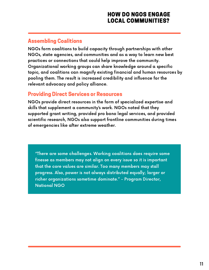#### HOW DO NGOS ENGAGE LOCAL COMMUNITIES?

#### Assembling Coalitions

NGOs form coalitions to build capacity through partnerships with other NGOs, state agencies, and communities and as a way to learn new best practices or connections that could help improve the community. Organizational working groups can share knowledge around a specific topic, and coalitions can magnify existing financial and human resources by pooling them. The result is increased credibility and influence for the relevant advocacy and policy alliance.

#### Providing Direct Services or Resources

NGOs provide direct resources in the form of specialized expertise and skills that supplement a community's work. NGOs noted that they supported grant writing, provided pro bono legal services, and provided scientific research, NGOs also support frontline communities during times of emergencies like after extreme weather.

"There are some challenges. Working coalitions does require some finesse as members may not align on every issue so it is important that the core values are similar. Too many members may stall progress. Also, power is not always distributed equally; larger or richer organizations sometime dominate." - Program Director, National NGO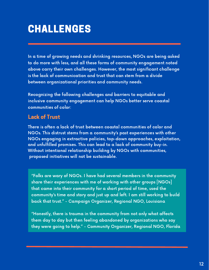### CHALLENGES

In a time of growing needs and shrinking resources, NGOs are being asked to do more with less, and all these forms of community engagement noted above carry their own challenges. However, the most significant challenge is the lack of communication and trust that can stem from a divide between organizational priorities and community needs.

Recognizing the following challenges and barriers to equitable and inclusive community engagement can help NGOs better serve coastal communities of color:

#### Lack of Trust

There is often a lack of trust between coastal communities of color and NGOs. This distrust stems from a community's past experiences with other NGOs engaging in extractive policies, top-down approaches, exploitation, and unfulfilled promises. This can lead to a lack of community buy-in. Without intentional relationship building by NGOs with communities, proposed initiatives will not be sustainable.

"Folks are wary of NGOs. I have had several members in the community share their experiences with me of working with other groups [NGOs] that came into their community for a short period of time, used the community's time and story and just up and left. I am still working to build back that trust." - Campaign Organizer, Regional NGO, Louisiana

"Honestly, there is trauma in the community from not only what affects them day to day but then feeling abandoned by organizations who say they were going to help." - Community Organizer, Regional NGO, Florida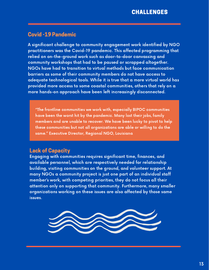#### Covid -19 Pandemic

A significant challenge to community engagement work identified by NGO practitioners was the Covid-19 pandemic. This affected programming that relied on on-the-ground work such as door-to-door canvassing and community workshops that had to be paused or scrapped altogether. NGOs have had to transition to virtual methods but face communication barriers as some of their community members do not have access to adequate technological tools. While it is true that a more virtual world has provided more access to some coastal communities, others that rely on a more hands-on approach have been left increasingly disconnected.

"The frontline communities we work with, especially BIPOC communities have been the worst hit by the pandemic. Many lost their jobs, family members and are unable to recover. We have been lucky to pivot to help these communities but not all organizations are able or willing to do the same." Executive Director, Regional NGO, Louisiana

#### Lack of Capacity

Engaging with communities requires significant time, finances, and available personnel, which are respectively needed for relationship building, visiting communities on the ground, and volunteer support. At many NGOs a community project is just one part of an individual staff member's work, with competing priorities, they do not focus all their attention only on supporting that community. Furthermore, many smaller organizations working on these issues are also affected by those same issues.

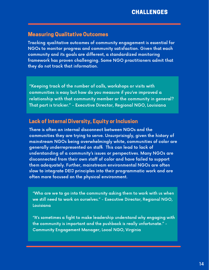#### Measuring Qualitative Outcomes

Tracking qualitative outcomes of community engagement is essential for NGOs to monitor progress and community satisfaction. Given that each community and its goals are different, a standardized monitoring framework has proven challenging. Some NGO practitioners admit that they do not track that information.

"Keeping track of the number of calls, workshops or visits with communities is easy but how do you measure if you've improved a relationship with that community member or the community in general? That part is trickier." - Executive Director, Regional NGO, Louisiana

#### Lack of Internal Diversity, Equity or Inclusion

There is often an internal disconnect between NGOs and the communities they are trying to serve. Unsurprisingly, given the history of mainstream NGOs being overwhelmingly white, communities of color are generally underrepresented on staff. This can lead to lack of 18 understanding of a community's issues or perspectives. Many NGOs are disconnected from their own staff of color and have failed to support them adequately. Further, mainstream environmental NGOs are often slow to integrate DEIJ principles into their programmatic work and are often more focused on the physical environment.

"Who are we to go into the community asking them to work with us when we still need to work on ourselves." - Executive Director, Regional NGO, Louisiana

"It's sometimes a fight to make leadership understand why engaging with the community is important and the pushback is really unfortunate." - Community Engagement Manager, Local NGO, Virginia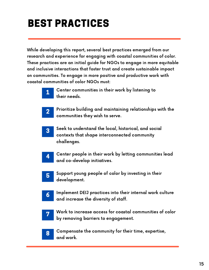### BEST PRACTICES

While developing this report, several best practices emerged from our research and experience for engaging with coastal communities of color. These practices are an initial guide for NGOs to engage in more equitable and inclusive interactions that foster trust and create sustainable impact on communities. To engage in more positive and productive work with coastal communities of color NGOs must:



Center communities in their work by listening to their needs.



Prioritize building and maintaining relationships with the communities they wish to serve.



Seek to understand the local, historical, and social contexts that shape interconnected community challenges.



Center people in their work by letting communities lead and co-develop initiatives.



Support young people of color by investing in their development.



Implement DEIJ practices into their internal work culture and increase the diversity of staff.



Work to increase access for coastal communities of color by removing barriers to engagement.



Compensate the community for their time, expertise, and work.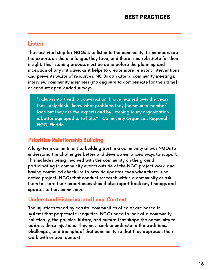#### Listen

The most vital step for NGOs is to listen to the community. Its members are the experts on the challenges they face, and there is no substitute for their insight. This listening process must be done before the planning and inception of any initiative, as it helps to create more relevant interventions and prevents waste of resources. NGOs can attend community meetings, interview community members (making sure to compensate for their time) or conduct open-ended surveys.

"I always start with a conversation. I have learned over the years that I only think I know what problems they [community member] face but they are the experts and by listening to my organization is better equipped to to help." - Community Organizer, Regional NGO, Florida

#### Prioritize Relationship Building

A long-term commitment to building trust in a community allows NGOs to understand the challenges better and develop enhanced ways to support. This includes being involved with the community on the ground, participating in community events outside of the NGO project work, and having continued check-ins to provide updates even when there is no active project. NGOs that conduct research within a community or ask them to share their experiences should also report back any findings and updates to that community.

#### Understand Historical and Local Context

The injustices faced by coastal communities of color are based in systems that perpetuate inequities. NGOs need to look at a community holistically, the policies, history, and culture that shape the community to address these injustices. They must seek to understand the traditions, challenges, and triumphs of that community so that they approach their work with critical context.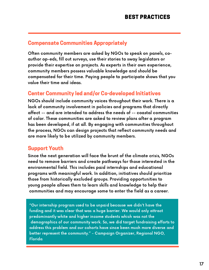#### Compensate Communities Appropriately

Often community members are asked by NGOs to speak on panels, coauthor op-eds, fill out surveys, use their stories to sway legislators or provide their expertise on projects. As experts in their own experience, community members possess valuable knowledge and should be compensated for their time. Paying people to participate shows that you value their time and ideas.

#### Center Community led and/or Co-developed Initiatives

lack of community involvement in policies and programs that directly affect -- and are intended to address the needs of -- coastal communities of color. These communities are asked to review plans after a program has been developed, if at all. By engaging with communities throughout<br>... the process, NGOs can design projects that reflect community needs and are more likely to be utilized by community members. NGOs should include community voices throughout their work. There is a

#### to the community with a just transition. The community with a just transition. The community with a just transition  $\mathbf{r}_i$ Sit Teach<br>S Support Youth

Since the next generation will face the brunt of the climate crisis, NGOs need to remove barriers and create pathways for those interested in the environmental field. This includes paid internships and educational programs with meaningful work. In addition, initiatives should prioritize those from historically excluded groups. Providing opportunities to young people allows them to learn skills and knowledge to help their communities and may encourage some to enter the field as a career.

"Our internship program used to be unpaid because we didn't have the funding and it was clear that was a huge barrier. We would only attract predominantly white and higher income students which was not the demographics of our community work. So, we did target fundraising efforts to address this problem and our cohorts have since been much more diverse and better represent the community." - Campaign Organizer, Regional NGO, Florida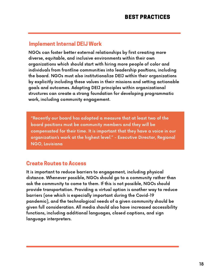#### Implement Internal DEIJ Work

NGOs can foster better external relationships by first creating more diverse, equitable, and inclusive environments within their own organizations which should start with hiring more people of color and individuals from frontline communities into leadership positions, including 9 the board. NGOs must also institutionalize DEIJ within their organizations by explicitly including these values in their missions and setting actionable goals and outcomes. Adopting DEIJ principles within organizational structures can create a strong foundation for developing programmatic work, including community engagement.

"Recently our board has adopted a measure that at least two of the board positions must be community members and they will be compensated for their time. It is important that they have a voice in our organization's work at the highest level." - Executive Director, Regional NGO, Louisiana

#### Create Routes to Access

It is important to reduce barriers to engagement, including physical distance. Whenever possible, NGOs should go to a community rather than ask the community to come to them. If this is not possible, NGOs should provide transportation. Providing a virtual option is another way to reduce barriers (one which is especially important during the Covid-19 pandemic), and the technological needs of a given community should be given full consideration. All media should also have increased accessibility functions, including additional languages, closed captions, and sign language interpreters.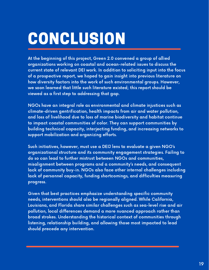# CONCLUSION

At the beginning of this project, Green 2.0 convened a group of allied organizations working on coastal and ocean-related issues to discuss the current state of relevant DEI work. In addition to soliciting input into the focus of a prospective report, we hoped to gain insight into previous literature on how diversity factors into the work of such environmental groups. However, we soon learned that little such literature existed; this report should be viewed as a first step to addressing that gap.

NGOs have an integral role as environmental and climate injustices such as climate-driven gentrification, health impacts from air and water pollution, and loss of livelihood due to loss of marine biodiversity and habitat continue to impact coastal communities of color. They can support communities by building technical capacity, interjecting funding, and increasing networks to support mobilization and organizing efforts.

Such initiatives, however, must use a DEIJ lens to evaluate a given NGO's organizational structure and its community engagement strategies. Failing to do so can lead to further mistrust between NGOs and communities, misalignment between programs and a community's needs, and consequent lack of community buy-in. NGOs also face other internal challenges including lack of personnel capacity, funding shortcomings, and difficulties measuring progress.

Given that best practices emphasize understanding specific community needs, interventions should also be regionally aligned. While California, Louisiana, and Florida share similar challenges such as sea-level rise and air pollution, local differences demand a more nuanced approach rather than broad strokes. Understanding the historical context of communities through listening, relationship building, and allowing those most impacted to lead should precede any intervention.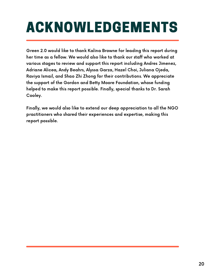## ACKNOWLEDGEMENTS

Green 2.0 would like to thank Kalina Browne for leading this report during her time as a fellow. We would also like to thank our staff who worked at various stages to review and support this report including Andres Jimenez, Adriane Alicea, Andy Beahrs, Alyssa Garza, Hazel Choi, Juliana Ojeda, Raviya Ismail, and Shao Zhi Zhong for their contributions. We appreciate the support of the Gordon and Betty Moore Foundation, whose funding helped to make this report possible. Finally, special thanks to Dr. Sarah Cooley.

Finally, we would also like to extend our deep appreciation to all the NGO practitioners who shared their experiences and expertise, making this report possible.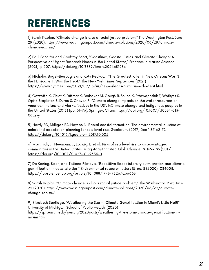### REFERENCES

1) Sarah Kaplan, "Climate change is also a racial justice problem," The Washington Post, June 29 (2020), https://www.washingtonpost.com/climate-solutions/2020/06/29/climatechange-racism/

2) Paul Sandifer and Geoffrey Scott, "Coastlines, Coastal Cities, and Climate Change: A Perspective on Urgent Research Needs in the United States," Frontiers in Marine Science. (2021): p.207. https://doi.org/10.3389/fmars.2021.631986

3) Nicholas Bogel-Burroughs and Katy Reckdah, "The Greatest Killer in New Orleans Wasn't the Hurricane. It Was the Heat." The New York Times. September (2021) https://www.nytimes.com/2021/09/15/us/new-orleans-hurricane-ida-heat.html

4) Cozzetto K, Chief K, Dittmer K, Brubaker M, Gough R, Souza K, Ettawageshik F, Wotkyns S, Opitz-Stapleton S, Duren S, Chavan P. "Climate change impacts on the water resources of American Indians and Alaska Natives in the US". InClimate change and Indigenous peoples in the United States (2013) (pp. 61-76). Springer, Cham. https://doi.org/10.1007/s10584-013-0852-y

5) Hardy RD, Milligan RA, Heynen N. Racial coastal formation: The environmental injustice of colorblind adaptation planning for sea-level rise. Geoforum. (2017) Dec 1;87:62-72 https://doi.org/10.1016/j.geoforum.2017.10.005

6) Martinich, J., Neumann, J., Ludwig, L. et al. Risks of sea level rise to disadvantaged communities in the United States. Mitig Adapt Strateg Glob Change 18, 169–185 (2013). https://doi.org/10.1007/s11027-011-9356-0

7) De Koning, Koen, and Tatiana Filatova. "Repetitive floods intensify outmigration and climate gentrification in coastal cities." Environmental research letters 15, no. 3 (2020): 034008. https://iopscience.iop.org/article/10.1088/1748-9326/ab6668

8) Sarah Kaplan, "Climate change is also a racial justice problem," The Washington Post, June 29 (2020), https://www.washingtonpost.com/climate-solutions/2020/06/29/climatechange-racism/

9) Elizabeth Santiago, "Weathering the Storm: Climate Gentrification in Miami's Little Haiti" University of Michigan, School of Public Health. (2020) https://sph.umich.edu/pursuit/2020posts/weathering-the-storm-climate-gentrification-inmiami.html